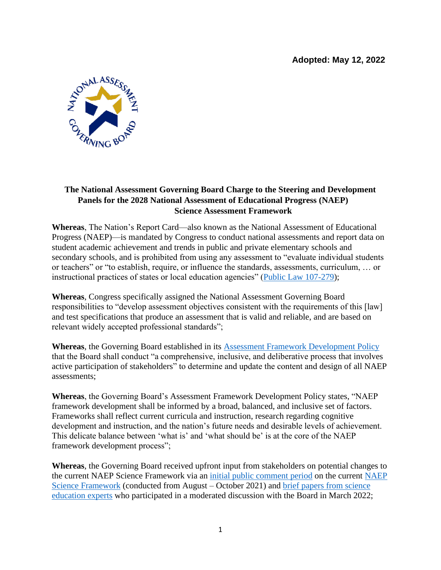**Adopted: May 12, 2022**



## **The National Assessment Governing Board Charge to the Steering and Development Panels for the 2028 National Assessment of Educational Progress (NAEP) Science Assessment Framework**

**Whereas**, The Nation's Report Card—also known as the National Assessment of Educational Progress (NAEP)—is mandated by Congress to conduct national assessments and report data on student academic achievement and trends in public and private elementary schools and secondary schools, and is prohibited from using any assessment to "evaluate individual students or teachers" or "to establish, require, or influence the standards, assessments, curriculum, … or instructional practices of states or local education agencies" [\(Public Law 107-279\)](https://www.nagb.gov/naep/the-naep-law.html);

**Whereas**, Congress specifically assigned the National Assessment Governing Board responsibilities to "develop assessment objectives consistent with the requirements of this [law] and test specifications that produce an assessment that is valid and reliable, and are based on relevant widely accepted professional standards";

**Whereas**, the Governing Board established in its [Assessment Framework Development Policy](https://www.nagb.gov/content/dam/nagb/en/documents/policies/assessment-framework-development.pdf) that the Board shall conduct "a comprehensive, inclusive, and deliberative process that involves active participation of stakeholders" to determine and update the content and design of all NAEP assessments;

**Whereas**, the Governing Board's Assessment Framework Development Policy states, "NAEP framework development shall be informed by a broad, balanced, and inclusive set of factors. Frameworks shall reflect current curricula and instruction, research regarding cognitive development and instruction, and the nation's future needs and desirable levels of achievement. This delicate balance between 'what is' and 'what should be' is at the core of the NAEP framework development process";

**Whereas**, the Governing Board received upfront input from stakeholders on potential changes to the current NAEP Science Framework via an [initial public comment](https://www.nagb.gov/content/dam/nagb/en/documents/what-we-do/quarterly-board-meeting-materials/2021-11/11-Initial-Public-Comment-on-NAEP-Science-Framework.pdf) period on the current [NAEP](https://www.nagb.gov/content/dam/nagb/en/documents/publications/frameworks/science/2019-science-framework.pdf)  Science [Framework](https://www.nagb.gov/content/dam/nagb/en/documents/publications/frameworks/science/2019-science-framework.pdf) (conducted from August – October 2021) and brief [papers from science](https://www.nagb.gov/content/dam/nagb/en/documents/what-we-do/quarterly-board-meeting-materials/2022-03/5-NAEP-Science-Assessment-Framework.pdf)  [education experts](https://www.nagb.gov/content/dam/nagb/en/documents/what-we-do/quarterly-board-meeting-materials/2022-03/5-NAEP-Science-Assessment-Framework.pdf) who participated in a moderated discussion with the Board in March 2022;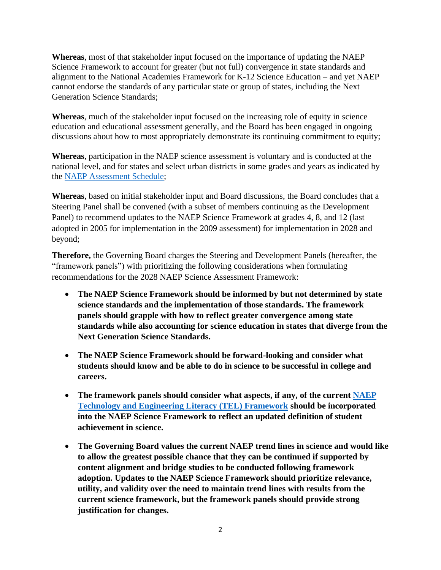**Whereas**, most of that stakeholder input focused on the importance of updating the NAEP Science Framework to account for greater (but not full) convergence in state standards and alignment to the National Academies Framework for K-12 Science Education – and yet NAEP cannot endorse the standards of any particular state or group of states, including the Next Generation Science Standards;

**Whereas**, much of the stakeholder input focused on the increasing role of equity in science education and educational assessment generally, and the Board has been engaged in ongoing discussions about how to most appropriately demonstrate its continuing commitment to equity;

**Whereas**, participation in the NAEP science assessment is voluntary and is conducted at the national level, and for states and select urban districts in some grades and years as indicated by the NAEP [Assessment Schedule;](https://www.nagb.gov/naep/assessment-schedule.html)

**Whereas**, based on initial stakeholder input and Board discussions, the Board concludes that a Steering Panel shall be convened (with a subset of members continuing as the Development Panel) to recommend updates to the NAEP Science Framework at grades 4, 8, and 12 (last adopted in 2005 for implementation in the 2009 assessment) for implementation in 2028 and beyond;

**Therefore,** the Governing Board charges the Steering and Development Panels (hereafter, the "framework panels") with prioritizing the following considerations when formulating recommendations for the 2028 NAEP Science Assessment Framework:

- **The NAEP Science Framework should be informed by but not determined by state science standards and the implementation of those standards. The framework panels should grapple with how to reflect greater convergence among state standards while also accounting for science education in states that diverge from the Next Generation Science Standards.**
- **The NAEP Science Framework should be forward-looking and consider what students should know and be able to do in science to be successful in college and careers.**
- **The framework panels should consider what aspects, if any, of the current [NAEP](https://www.nagb.gov/content/dam/nagb/en/documents/publications/frameworks/technology/2018-technology-framework.pdf)  [Technology and Engineering Literacy \(TEL\) Framework](https://www.nagb.gov/content/dam/nagb/en/documents/publications/frameworks/technology/2018-technology-framework.pdf) should be incorporated into the NAEP Science Framework to reflect an updated definition of student achievement in science.**
- **The Governing Board values the current NAEP trend lines in science and would like to allow the greatest possible chance that they can be continued if supported by content alignment and bridge studies to be conducted following framework adoption. Updates to the NAEP Science Framework should prioritize relevance, utility, and validity over the need to maintain trend lines with results from the current science framework, but the framework panels should provide strong justification for changes.**